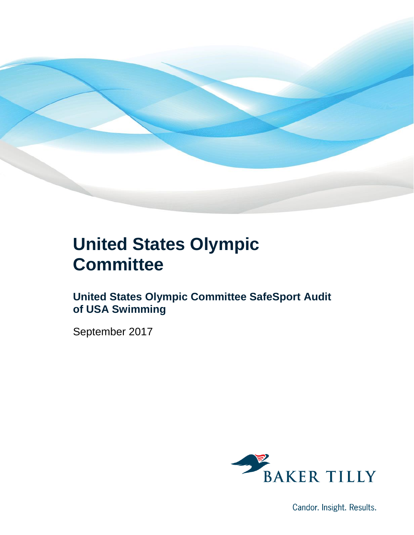

### **United States Olympic Committee**

**United States Olympic Committee SafeSport Audit of USA Swimming**

September 2017



Candor. Insight. Results.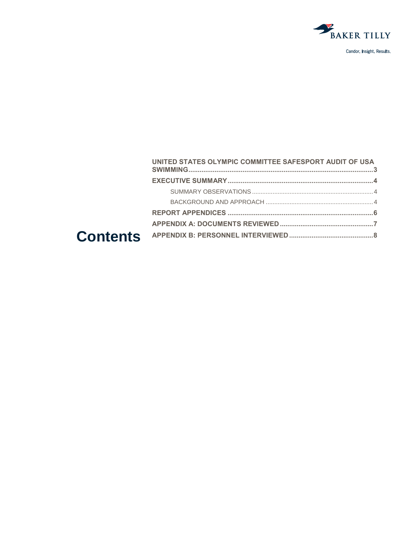

| UNITED STATES OLYMPIC COMMITTEE SAFESPORT AUDIT OF USA |  |
|--------------------------------------------------------|--|
|                                                        |  |
|                                                        |  |
|                                                        |  |
|                                                        |  |
|                                                        |  |
|                                                        |  |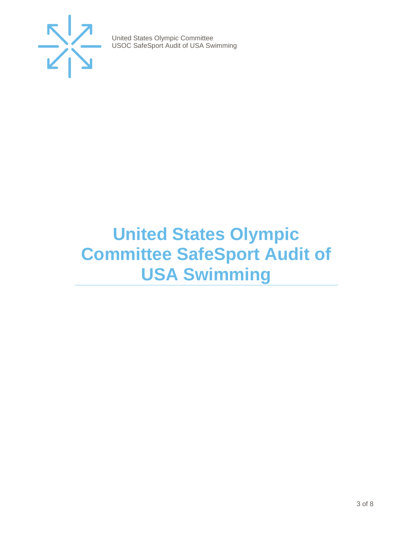

## <span id="page-2-0"></span>**United States Olympic Committee SafeSport Audit of USA Swimming**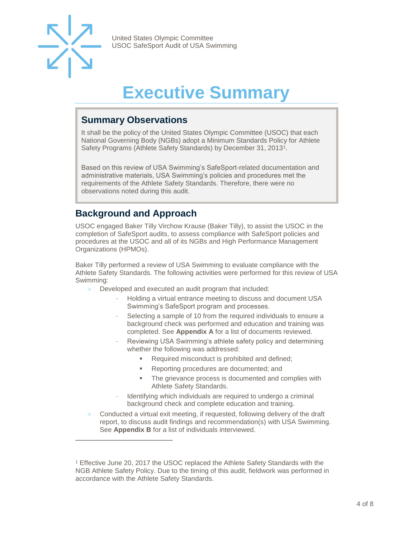

 $\overline{a}$ 

United States Olympic Committee USOC SafeSport Audit of USA Swimming

## **Executive Summary**

#### <span id="page-3-1"></span><span id="page-3-0"></span>**Summary Observations**

It shall be the policy of the United States Olympic Committee (USOC) that each National Governing Body (NGBs) adopt a Minimum Standards Policy for Athlete Safety Programs (Athlete Safety Standards) by December 31, 2013<sup>1</sup>.

Based on this review of USA Swimming's SafeSport-related documentation and administrative materials, USA Swimming's policies and procedures met the requirements of the Athlete Safety Standards. Therefore, there were no observations noted during this audit.

#### <span id="page-3-2"></span>**Background and Approach**

USOC engaged Baker Tilly Virchow Krause (Baker Tilly), to assist the USOC in the completion of SafeSport audits, to assess compliance with SafeSport policies and procedures at the USOC and all of its NGBs and High Performance Management Organizations (HPMOs).

Baker Tilly performed a review of USA Swimming to evaluate compliance with the Athlete Safety Standards. The following activities were performed for this review of USA Swimming:

- Developed and executed an audit program that included:
	- Holding a virtual entrance meeting to discuss and document USA Swimming's SafeSport program and processes.
	- Selecting a sample of 10 from the required individuals to ensure a background check was performed and education and training was completed. See **Appendix A** for a list of documents reviewed.
	- Reviewing USA Swimming's athlete safety policy and determining whether the following was addressed:
		- Required misconduct is prohibited and defined;
		- Reporting procedures are documented; and
		- **•** The grievance process is documented and complies with Athlete Safety Standards.
	- Identifying which individuals are required to undergo a criminal background check and complete education and training.
- Conducted a virtual exit meeting, if requested, following delivery of the draft report, to discuss audit findings and recommendation(s) with USA Swimming. See **Appendix B** for a list of individuals interviewed.

<sup>1</sup> Effective June 20, 2017 the USOC replaced the Athlete Safety Standards with the NGB Athlete Safety Policy. Due to the timing of this audit, fieldwork was performed in accordance with the Athlete Safety Standards.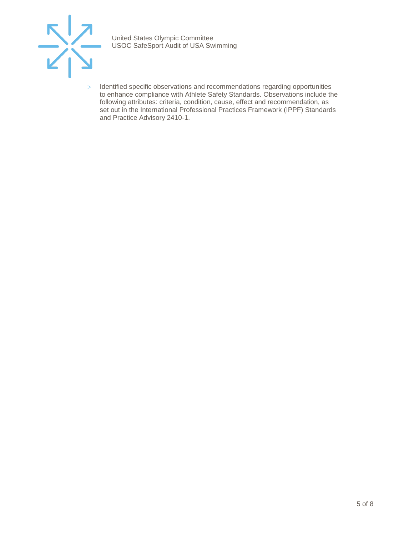

> Identified specific observations and recommendations regarding opportunities to enhance compliance with Athlete Safety Standards. Observations include the following attributes: criteria, condition, cause, effect and recommendation, as set out in the International Professional Practices Framework (IPPF) Standards and Practice Advisory 2410-1.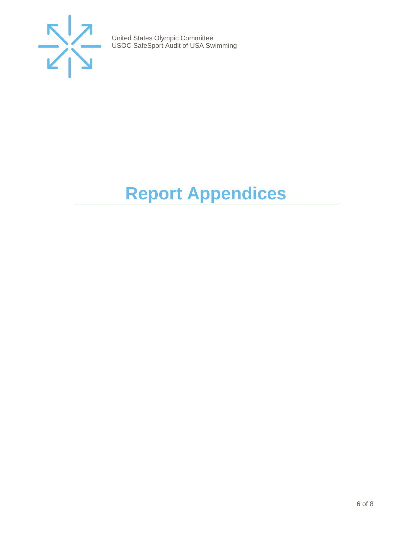

# <span id="page-5-0"></span>**Report Appendices**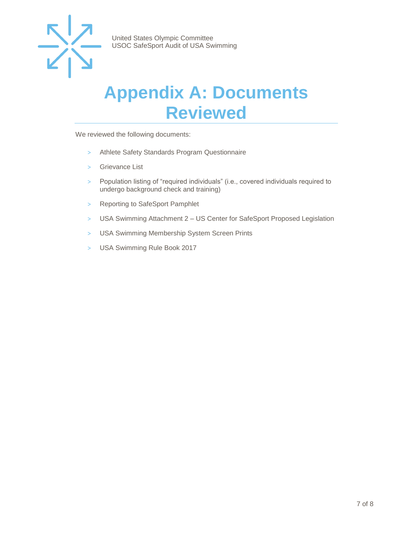

### <span id="page-6-0"></span>**Appendix A: Documents Reviewed**

We reviewed the following documents:

- > Athlete Safety Standards Program Questionnaire
- > Grievance List
- > Population listing of "required individuals" (i.e., covered individuals required to undergo background check and training)
- > Reporting to SafeSport Pamphlet
- > USA Swimming Attachment 2 US Center for SafeSport Proposed Legislation
- > USA Swimming Membership System Screen Prints
- > USA Swimming Rule Book 2017